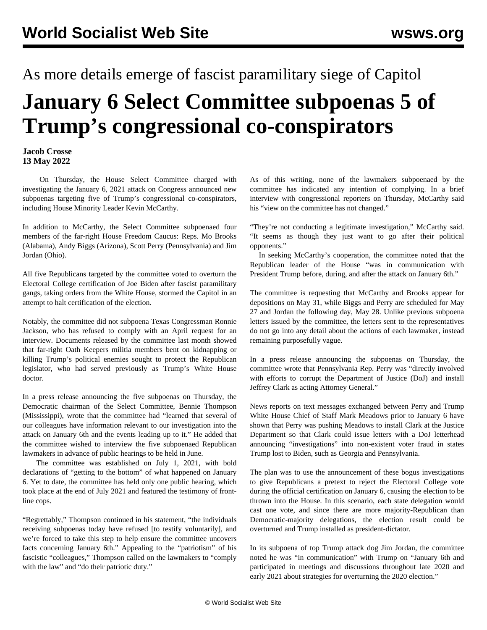## As more details emerge of fascist paramilitary siege of Capitol **January 6 Select Committee subpoenas 5 of Trump's congressional co-conspirators**

## **Jacob Crosse 13 May 2022**

 On Thursday, the House Select Committee charged with investigating the January 6, 2021 attack on Congress announced new subpoenas targeting five of Trump's congressional co-conspirators, including House Minority Leader Kevin McCarthy.

In addition to McCarthy, the Select Committee subpoenaed four members of the far-right House Freedom Caucus: Reps. Mo Brooks (Alabama), Andy Biggs (Arizona), Scott Perry (Pennsylvania) and Jim Jordan (Ohio).

All five Republicans targeted by the committee voted to overturn the Electoral College certification of Joe Biden after fascist paramilitary gangs, taking orders from the White House, stormed the Capitol in an attempt to halt certification of the election.

Notably, the committee did not subpoena Texas Congressman Ronnie Jackson, who has refused to comply with an April request for an interview. Documents released by the committee last month showed that far-right Oath Keepers militia members bent on kidnapping or killing Trump's political enemies sought to protect the Republican legislator, who had served previously as Trump's White House doctor.

In a press release announcing the five subpoenas on Thursday, the Democratic chairman of the Select Committee, Bennie Thompson (Mississippi), wrote that the committee had "learned that several of our colleagues have information relevant to our investigation into the attack on January 6th and the events leading up to it." He added that the committee wished to interview the five subpoenaed Republican lawmakers in advance of public hearings to be held in June.

 The committee was established on July 1, 2021, with bold declarations of "getting to the bottom" of what happened on January 6. Yet to date, the committee has held only one public hearing, which took place at the end of July 2021 and featured the testimony of frontline cops.

"Regrettably," Thompson continued in his statement, "the individuals receiving subpoenas today have refused [to testify voluntarily], and we're forced to take this step to help ensure the committee uncovers facts concerning January 6th." Appealing to the "patriotism" of his fascistic "colleagues," Thompson called on the lawmakers to "comply with the law" and "do their patriotic duty."

As of this writing, none of the lawmakers subpoenaed by the committee has indicated any intention of complying. In a brief interview with congressional reporters on Thursday, McCarthy said his "view on the committee has not changed."

"They're not conducting a legitimate investigation," McCarthy said. "It seems as though they just want to go after their political opponents."

 In seeking McCarthy's cooperation, the committee noted that the Republican leader of the House "was in communication with President Trump before, during, and after the attack on January 6th."

The committee is requesting that McCarthy and Brooks appear for depositions on May 31, while Biggs and Perry are scheduled for May 27 and Jordan the following day, May 28. Unlike previous subpoena letters issued by the committee, the letters sent to the representatives do not go into any detail about the actions of each lawmaker, instead remaining purposefully vague.

In a press release announcing the subpoenas on Thursday, the committee wrote that Pennsylvania Rep. Perry was "directly involved with efforts to corrupt the Department of Justice (DoJ) and install Jeffrey Clark as acting Attorney General."

News reports on text messages exchanged between Perry and Trump White House Chief of Staff Mark Meadows prior to January 6 have shown that Perry was pushing Meadows to install Clark at the Justice Department so that Clark could issue letters with a DoJ letterhead announcing "investigations" into non-existent voter fraud in states Trump lost to Biden, such as Georgia and Pennsylvania.

The plan was to use the announcement of these bogus investigations to give Republicans a pretext to reject the Electoral College vote during the official certification on January 6, causing the election to be thrown into the House. In this scenario, each state delegation would cast one vote, and since there are more majority-Republican than Democratic-majority delegations, the election result could be overturned and Trump installed as president-dictator.

In its subpoena of top Trump attack dog Jim Jordan, the committee noted he was "in communication" with Trump on "January 6th and participated in meetings and discussions throughout late 2020 and early 2021 about strategies for overturning the 2020 election."